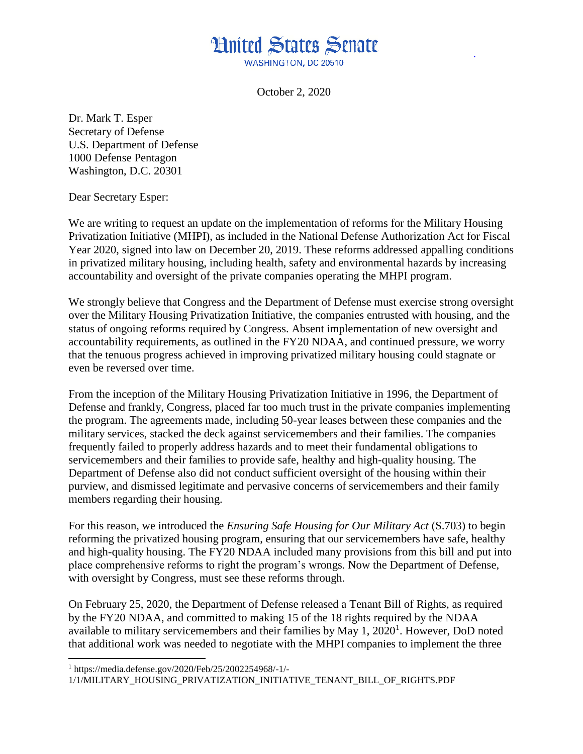## **Huited States Senate WASHINGTON, DC 20510**

October 2, 2020

Dr. Mark T. Esper Secretary of Defense U.S. Department of Defense 1000 Defense Pentagon Washington, D.C. 20301

Dear Secretary Esper:

We are writing to request an update on the implementation of reforms for the Military Housing Privatization Initiative (MHPI), as included in the National Defense Authorization Act for Fiscal Year 2020, signed into law on December 20, 2019. These reforms addressed appalling conditions in privatized military housing, including health, safety and environmental hazards by increasing accountability and oversight of the private companies operating the MHPI program.

We strongly believe that Congress and the Department of Defense must exercise strong oversight over the Military Housing Privatization Initiative, the companies entrusted with housing, and the status of ongoing reforms required by Congress. Absent implementation of new oversight and accountability requirements, as outlined in the FY20 NDAA, and continued pressure, we worry that the tenuous progress achieved in improving privatized military housing could stagnate or even be reversed over time.

From the inception of the Military Housing Privatization Initiative in 1996, the Department of Defense and frankly, Congress, placed far too much trust in the private companies implementing the program. The agreements made, including 50-year leases between these companies and the military services, stacked the deck against servicemembers and their families. The companies frequently failed to properly address hazards and to meet their fundamental obligations to servicemembers and their families to provide safe, healthy and high-quality housing. The Department of Defense also did not conduct sufficient oversight of the housing within their purview, and dismissed legitimate and pervasive concerns of servicemembers and their family members regarding their housing.

For this reason, we introduced the *Ensuring Safe Housing for Our Military Act* (S.703) to begin reforming the privatized housing program, ensuring that our servicemembers have safe, healthy and high-quality housing. The FY20 NDAA included many provisions from this bill and put into place comprehensive reforms to right the program's wrongs. Now the Department of Defense, with oversight by Congress, must see these reforms through.

On February 25, 2020, the Department of Defense released a Tenant Bill of Rights, as required by the FY20 NDAA, and committed to making 15 of the 18 rights required by the NDAA available to military servicemembers and their families by May  $1, 2020<sup>1</sup>$ . However, DoD noted that additional work was needed to negotiate with the MHPI companies to implement the three

 $\overline{a}$ 

<sup>1</sup> https://media.defense.gov/2020/Feb/25/2002254968/-1/-

<sup>1/1/</sup>MILITARY\_HOUSING\_PRIVATIZATION\_INITIATIVE\_TENANT\_BILL\_OF\_RIGHTS.PDF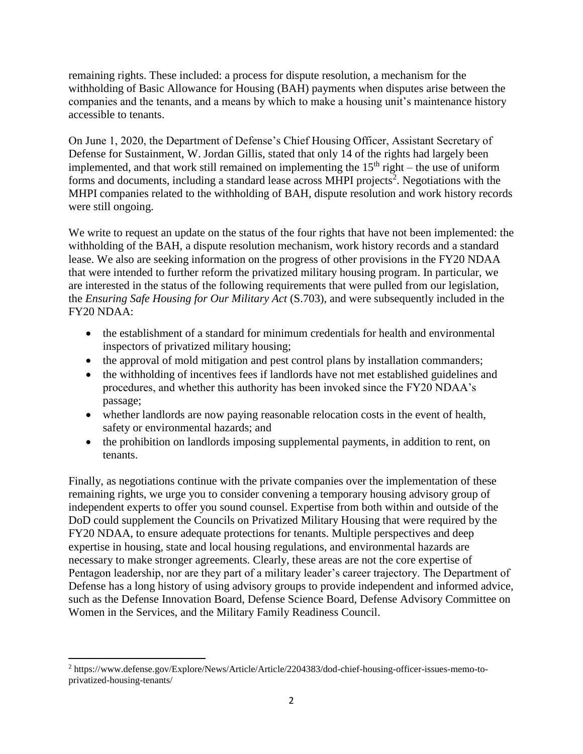remaining rights. These included: a process for dispute resolution, a mechanism for the withholding of Basic Allowance for Housing (BAH) payments when disputes arise between the companies and the tenants, and a means by which to make a housing unit's maintenance history accessible to tenants.

On June 1, 2020, the Department of Defense's Chief Housing Officer, Assistant Secretary of Defense for Sustainment, W. Jordan Gillis, stated that only 14 of the rights had largely been implemented, and that work still remained on implementing the  $15<sup>th</sup>$  right – the use of uniform forms and documents, including a standard lease across MHPI projects<sup>2</sup>. Negotiations with the MHPI companies related to the withholding of BAH, dispute resolution and work history records were still ongoing.

We write to request an update on the status of the four rights that have not been implemented: the withholding of the BAH, a dispute resolution mechanism, work history records and a standard lease. We also are seeking information on the progress of other provisions in the FY20 NDAA that were intended to further reform the privatized military housing program. In particular, we are interested in the status of the following requirements that were pulled from our legislation, the *Ensuring Safe Housing for Our Military Act* (S.703), and were subsequently included in the FY20 NDAA:

- the establishment of a standard for minimum credentials for health and environmental inspectors of privatized military housing;
- the approval of mold mitigation and pest control plans by installation commanders;
- the withholding of incentives fees if landlords have not met established guidelines and procedures, and whether this authority has been invoked since the FY20 NDAA's passage;
- whether landlords are now paying reasonable relocation costs in the event of health, safety or environmental hazards; and
- the prohibition on landlords imposing supplemental payments, in addition to rent, on tenants.

Finally, as negotiations continue with the private companies over the implementation of these remaining rights, we urge you to consider convening a temporary housing advisory group of independent experts to offer you sound counsel. Expertise from both within and outside of the DoD could supplement the Councils on Privatized Military Housing that were required by the FY20 NDAA, to ensure adequate protections for tenants. Multiple perspectives and deep expertise in housing, state and local housing regulations, and environmental hazards are necessary to make stronger agreements. Clearly, these areas are not the core expertise of Pentagon leadership, nor are they part of a military leader's career trajectory. The Department of Defense has a long history of using advisory groups to provide independent and informed advice, such as the Defense Innovation Board, Defense Science Board, Defense Advisory Committee on Women in the Services, and the Military Family Readiness Council.

 $\overline{a}$ 

<sup>2</sup> https://www.defense.gov/Explore/News/Article/Article/2204383/dod-chief-housing-officer-issues-memo-toprivatized-housing-tenants/